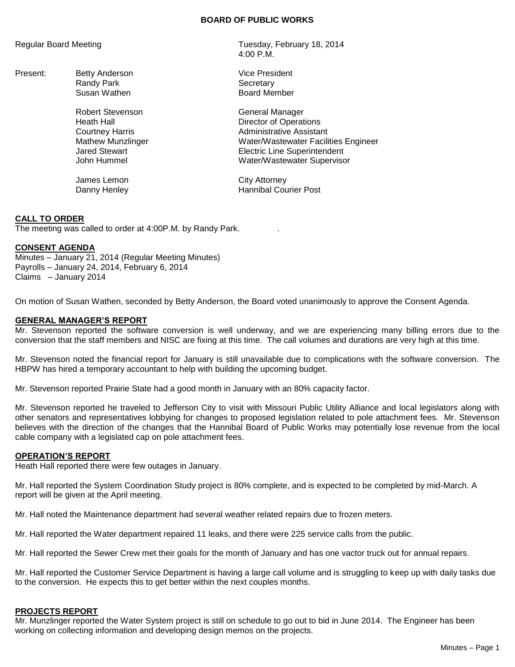## **BOARD OF PUBLIC WORKS**

- Present: Betty Anderson **Vice President** Vice President Randy Park Secretary
	- Robert Stevenson General Manager

James Lemon City Attorney

Regular Board Meeting Tuesday, February 18, 2014 4:00 P.M.

Susan Wathen **Board Member** 

Heath Hall **Hall** Director of Operations **Courtney Harris** Courtney Harris **Administrative Assistant** Mathew Munzlinger Water/Wastewater Facilities Engineer Jared Stewart Electric Line Superintendent John Hummel Water/Wastewater Supervisor

Danny Henley **Hannibal Courier Post** 

# **CALL TO ORDER**

The meeting was called to order at 4:00P.M. by Randy Park. .

## **CONSENT AGENDA**

Minutes – January 21, 2014 (Regular Meeting Minutes) Payrolls – January 24, 2014, February 6, 2014 Claims – January 2014

On motion of Susan Wathen, seconded by Betty Anderson, the Board voted unanimously to approve the Consent Agenda.

# **GENERAL MANAGER'S REPORT**

Mr. Stevenson reported the software conversion is well underway, and we are experiencing many billing errors due to the conversion that the staff members and NISC are fixing at this time. The call volumes and durations are very high at this time.

Mr. Stevenson noted the financial report for January is still unavailable due to complications with the software conversion. The HBPW has hired a temporary accountant to help with building the upcoming budget.

Mr. Stevenson reported Prairie State had a good month in January with an 80% capacity factor.

Mr. Stevenson reported he traveled to Jefferson City to visit with Missouri Public Utility Alliance and local legislators along with other senators and representatives lobbying for changes to proposed legislation related to pole attachment fees. Mr. Stevenson believes with the direction of the changes that the Hannibal Board of Public Works may potentially lose revenue from the local cable company with a legislated cap on pole attachment fees.

## **OPERATION'S REPORT**

Heath Hall reported there were few outages in January.

Mr. Hall reported the System Coordination Study project is 80% complete, and is expected to be completed by mid-March. A report will be given at the April meeting.

Mr. Hall noted the Maintenance department had several weather related repairs due to frozen meters.

Mr. Hall reported the Water department repaired 11 leaks, and there were 225 service calls from the public.

Mr. Hall reported the Sewer Crew met their goals for the month of January and has one vactor truck out for annual repairs.

Mr. Hall reported the Customer Service Department is having a large call volume and is struggling to keep up with daily tasks due to the conversion. He expects this to get better within the next couples months.

# **PROJECTS REPORT**

Mr. Munzlinger reported the Water System project is still on schedule to go out to bid in June 2014. The Engineer has been working on collecting information and developing design memos on the projects.